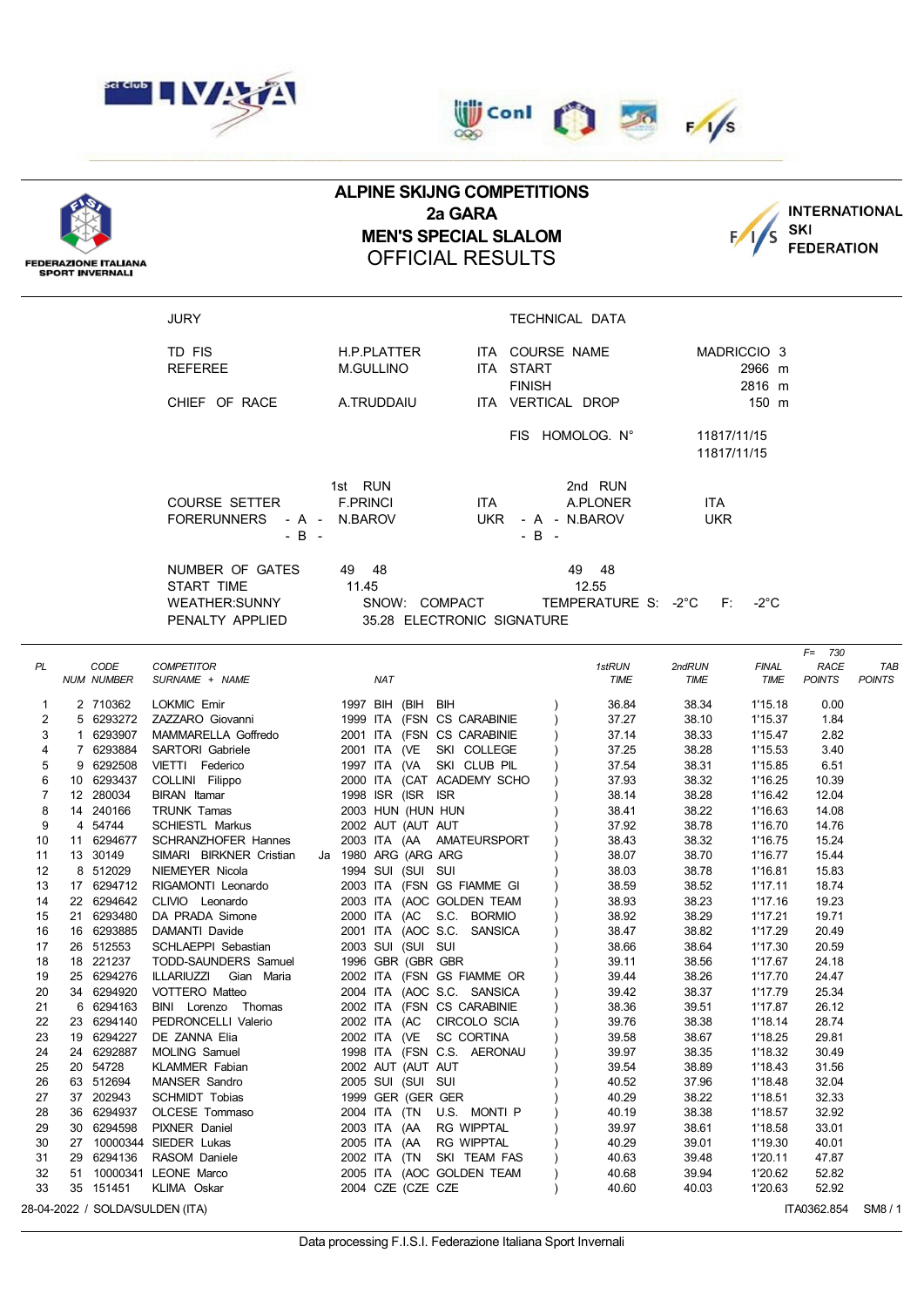





## **ALPINE SKIJNG COMPETITIONS 2a GARA MEN'S SPECIAL SLALOM** OFFICIAL RESULTS



**FEDERAZIONE ITALIANA<br>SPORT INVERNALI** 

|    |                   | <b>JURY</b>                           |                                 |            | TECHNICAL DATA               |                        |              |                          |               |
|----|-------------------|---------------------------------------|---------------------------------|------------|------------------------------|------------------------|--------------|--------------------------|---------------|
|    |                   | TD FIS<br><b>REFEREE</b>              | H.P.PLATTER<br><b>M.GULLINO</b> |            | ITA COURSE NAME<br>ITA START | MADRICCIO <sub>3</sub> | 2966 m       |                          |               |
|    |                   |                                       |                                 |            | <b>FINISH</b>                |                        | 2816 m       |                          |               |
|    |                   | CHIEF OF RACE                         | A.TRUDDAIU                      |            | ITA VERTICAL DROP            |                        | 150 m        |                          |               |
|    |                   |                                       |                                 |            | FIS HOMOLOG. N°              | 11817/11/15            |              |                          |               |
|    |                   |                                       |                                 |            |                              | 11817/11/15            |              |                          |               |
|    |                   |                                       | 1st RUN                         |            | 2nd RUN                      |                        |              |                          |               |
|    |                   | <b>COURSE SETTER</b>                  | <b>F.PRINCI</b>                 | ITA        | A.PLONER                     | <b>ITA</b>             |              |                          |               |
|    |                   | <b>FORERUNNERS</b><br>- A -<br>$-B -$ | N.BAROV                         | <b>UKR</b> | - A - N.BAROV<br>$-B -$      | <b>UKR</b>             |              |                          |               |
|    |                   | NUMBER OF GATES                       | 49 48                           |            | 49 48                        |                        |              |                          |               |
|    |                   | START TIME                            | 11.45                           |            | 12.55                        |                        |              |                          |               |
|    |                   | <b>WEATHER:SUNNY</b>                  | SNOW: COMPACT                   |            | TEMPERATURE S: -2°C          | E.                     | -2°C         |                          |               |
|    |                   | PENALTY APPLIED                       | 35.28 ELECTRONIC SIGNATURE      |            |                              |                        |              |                          |               |
| PL | CODE              | <b>COMPETITOR</b>                     |                                 |            | 1stRUN                       | 2ndRUN                 | <b>FINAL</b> | $F = 730$<br><b>RACE</b> | <b>TAE</b>    |
|    | <b>NUM NUMBER</b> | SURNAME + NAME                        | <b>NAT</b>                      |            | <b>TIME</b>                  | <b>TIME</b>            | <b>TIME</b>  | <b>POINTS</b>            | <b>POINTS</b> |
|    |                   |                                       |                                 |            |                              |                        |              |                          |               |

| 1              |              | 2 710362   | <b>LOKMIC Emir</b>              |              | 1997 BIH (BIH BIH    |                            | 36.84 | 38.34 | 1'15.18 | 0.00        |       |
|----------------|--------------|------------|---------------------------------|--------------|----------------------|----------------------------|-------|-------|---------|-------------|-------|
| 2              |              | 5 6293272  | ZAZZARO Giovanni                |              |                      | 1999 ITA (FSN CS CARABINIE | 37.27 | 38.10 | 1'15.37 | 1.84        |       |
| 3              | $\mathbf{1}$ | 6293907    | MAMMARELLA Goffredo             |              |                      | 2001 ITA (FSN CS CARABINIE | 37.14 | 38.33 | 1'15.47 | 2.82        |       |
| 4              |              | 7 6293884  | SARTORI Gabriele                | 2001 ITA (VE |                      | SKI COLLEGE                | 37.25 | 38.28 | 1'15.53 | 3.40        |       |
| 5              |              | 9 6292508  | VIETTI Federico                 |              |                      | 1997 ITA (VA SKI CLUB PIL  | 37.54 | 38.31 | 1'15.85 | 6.51        |       |
| 6              |              | 10 6293437 | COLLINI Filippo                 |              |                      | 2000 ITA (CAT ACADEMY SCHO | 37.93 | 38.32 | 1'16.25 | 10.39       |       |
| $\overline{7}$ |              | 12 280034  | <b>BIRAN</b> Itamar             |              | 1998 ISR (ISR ISR    |                            | 38.14 | 38.28 | 1'16.42 | 12.04       |       |
| 8              |              | 14 240166  | TRUNK Tamas                     |              |                      | 2003 HUN (HUN HUN          | 38.41 | 38.22 | 1'16.63 | 14.08       |       |
| 9              |              | 4 54744    | <b>SCHIESTL Markus</b>          |              | 2002 AUT (AUT AUT    |                            | 37.92 | 38.78 | 1'16.70 | 14.76       |       |
| 10             |              | 11 6294677 | <b>SCHRANZHOFER Hannes</b>      |              |                      | 2003 ITA (AA AMATEURSPORT  | 38.43 | 38.32 | 1'16.75 | 15.24       |       |
| 11             |              | 13 30149   | SIMARI BIRKNER Cristian         |              | Ja 1980 ARG (ARG ARG |                            | 38.07 | 38.70 | 1'16.77 | 15.44       |       |
| 12             |              | 8 512029   | NIEMEYER Nicola                 |              | 1994 SUI (SUI SUI    |                            | 38.03 | 38.78 | 1'16.81 | 15.83       |       |
| 13             |              | 17 6294712 | RIGAMONTI Leonardo              |              |                      | 2003 ITA (FSN GS FIAMME GI | 38.59 | 38.52 | 1'17.11 | 18.74       |       |
| 14             |              | 22 6294642 | CLIVIO Leonardo                 |              |                      | 2003 ITA (AOC GOLDEN TEAM  | 38.93 | 38.23 | 1'17.16 | 19.23       |       |
| 15             |              | 21 6293480 | DA PRADA Simone                 |              |                      | 2000 ITA (AC S.C. BORMIO   | 38.92 | 38.29 | 1'17.21 | 19.71       |       |
| 16             |              | 16 6293885 | DAMANTI Davide                  |              |                      | 2001 ITA (AOC S.C. SANSICA | 38.47 | 38.82 | 1'17.29 | 20.49       |       |
| 17             |              | 26 512553  | SCHLAEPPI Sebastian             |              | 2003 SUI (SUI SUI    |                            | 38.66 | 38.64 | 1'17.30 | 20.59       |       |
| 18             |              | 18 221237  | TODD-SAUNDERS Samuel            |              | 1996 GBR (GBR GBR    |                            | 39.11 | 38.56 | 1'17.67 | 24.18       |       |
| 19             |              | 25 6294276 | <b>ILLARIUZZI</b><br>Gian Maria |              |                      | 2002 ITA (FSN GS FIAMME OR | 39.44 | 38.26 | 1'17.70 | 24.47       |       |
| 20             |              | 34 6294920 | VOTTERO Matteo                  |              |                      | 2004 ITA (AOC S.C. SANSICA | 39.42 | 38.37 | 1'17.79 | 25.34       |       |
| 21             |              | 6 6294163  | BINI Lorenzo Thomas             |              |                      | 2002 ITA (FSN CS CARABINIE | 38.36 | 39.51 | 1'17.87 | 26.12       |       |
| 22             |              | 23 6294140 | PEDRONCELLI Valerio             |              |                      | 2002 ITA (AC CIRCOLO SCIA  | 39.76 | 38.38 | 1'18.14 | 28.74       |       |
| 23             |              | 19 6294227 | DE ZANNA Elia                   |              |                      | 2002 ITA (VE SC CORTINA    | 39.58 | 38.67 | 1'18.25 | 29.81       |       |
| 24             |              | 24 6292887 | <b>MOLING Samuel</b>            |              |                      | 1998 ITA (FSN C.S. AERONAU | 39.97 | 38.35 | 1'18.32 | 30.49       |       |
| 25             |              | 20 54728   | <b>KLAMMER Fabian</b>           |              | 2002 AUT (AUT AUT    |                            | 39.54 | 38.89 | 1'18.43 | 31.56       |       |
| 26             |              | 63 512694  | MANSER Sandro                   |              | 2005 SUI (SUI SUI    |                            | 40.52 | 37.96 | 1'18.48 | 32.04       |       |
| 27             |              | 37 202943  | <b>SCHMIDT Tobias</b>           |              | 1999 GER (GER GER    |                            | 40.29 | 38.22 | 1'18.51 | 32.33       |       |
| 28             |              | 36 6294937 | OLCESE Tommaso                  |              |                      | 2004 ITA (TN U.S. MONTI P  | 40.19 | 38.38 | 1'18.57 | 32.92       |       |
| 29             |              | 30 6294598 | <b>PIXNER</b> Daniel            | 2003 ITA (AA |                      | <b>RG WIPPTAL</b>          | 39.97 | 38.61 | 1'18.58 | 33.01       |       |
| 30             |              |            | 27 10000344 SIEDER Lukas        | 2005 ITA (AA |                      | <b>RG WIPPTAL</b>          | 40.29 | 39.01 | 1'19.30 | 40.01       |       |
| 31             |              | 29 6294136 | RASOM Daniele                   |              |                      | 2002 ITA (TN SKI TEAM FAS  | 40.63 | 39.48 | 1'20.11 | 47.87       |       |
| 32             |              |            | 51 10000341 LEONE Marco         |              |                      | 2005 ITA (AOC GOLDEN TEAM  | 40.68 | 39.94 | 1'20.62 | 52.82       |       |
| 33             | 35           | 151451     | KLIMA Oskar                     |              | 2004 CZE (CZE CZE    |                            | 40.60 | 40.03 | 1'20.63 | 52.92       |       |
|                |              |            | 28-04-2022 / SOLDA/SULDEN (ITA) |              |                      |                            |       |       |         | ITA0362.854 | SM8/1 |